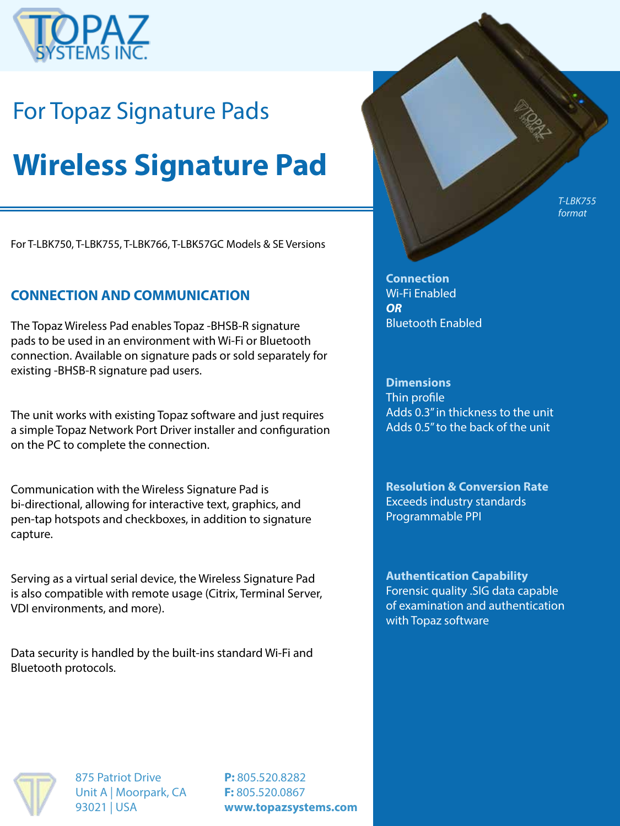

## For Topaz Signature Pads

# **Wireless Signature Pad**

For T-LBK750, T-LBK755, T-LBK766, T-LBK57GC Models & SE Versions

### **CONNECTION AND COMMUNICATION**

The Topaz Wireless Pad enables Topaz -BHSB-R signature pads to be used in an environment with Wi-Fi or Bluetooth connection. Available on signature pads or sold separately for existing -BHSB-R signature pad users.

The unit works with existing Topaz software and just requires a simple Topaz Network Port Driver installer and configuration on the PC to complete the connection.

Communication with the Wireless Signature Pad is bi-directional, allowing for interactive text, graphics, and pen-tap hotspots and checkboxes, in addition to signature capture.

Serving as a virtual serial device, the Wireless Signature Pad is also compatible with remote usage (Citrix, Terminal Server, VDI environments, and more).

Data security is handled by the built-ins standard Wi-Fi and Bluetooth protocols.

*T-LBK755 format*

**Connection** Wi-Fi Enabled *OR* Bluetooth Enabled

**Dimensions** Thin profile Adds 0.3" in thickness to the unit Adds 0.5" to the back of the unit

**Resolution & Conversion Rate** Exceeds industry standards Programmable PPI

**Authentication Capability** Forensic quality .SIG data capable of examination and authentication with Topaz software



875 Patriot Drive Unit A | Moorpark, CA 93021 | USA

**P:** 805.520.8282 **F:** 805.520.0867 **www.topazsystems.com**